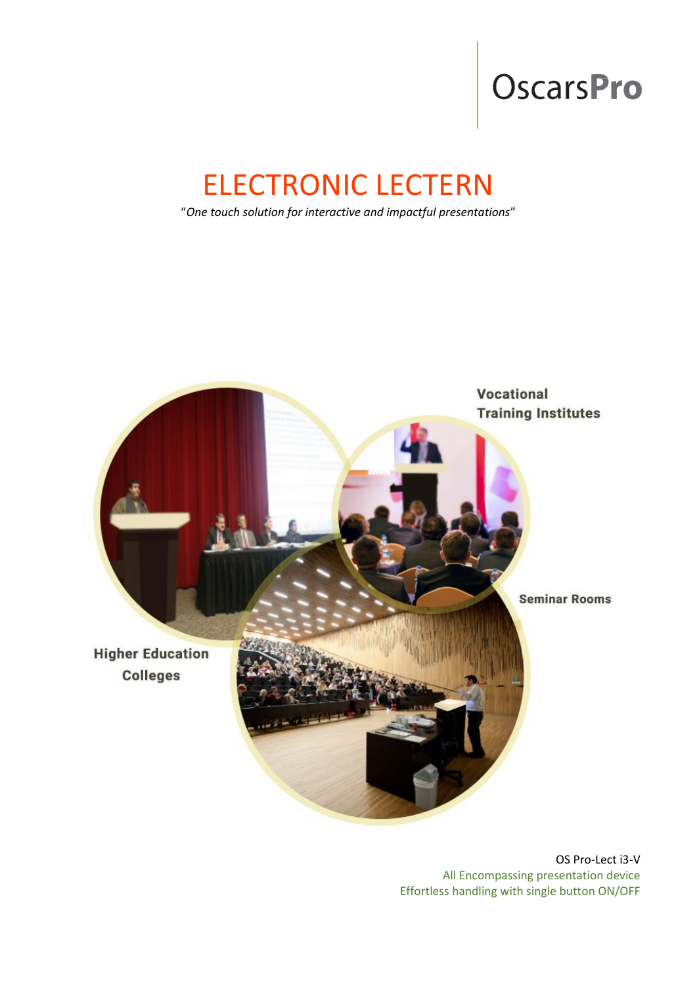# OscarsPro

# ELECTRONIC LECTERN

"*One touch solution for interactive and impactful presentations*"



OS Pro-Lect i3-V All Encompassing presentation device Effortless handling with single button ON/OFF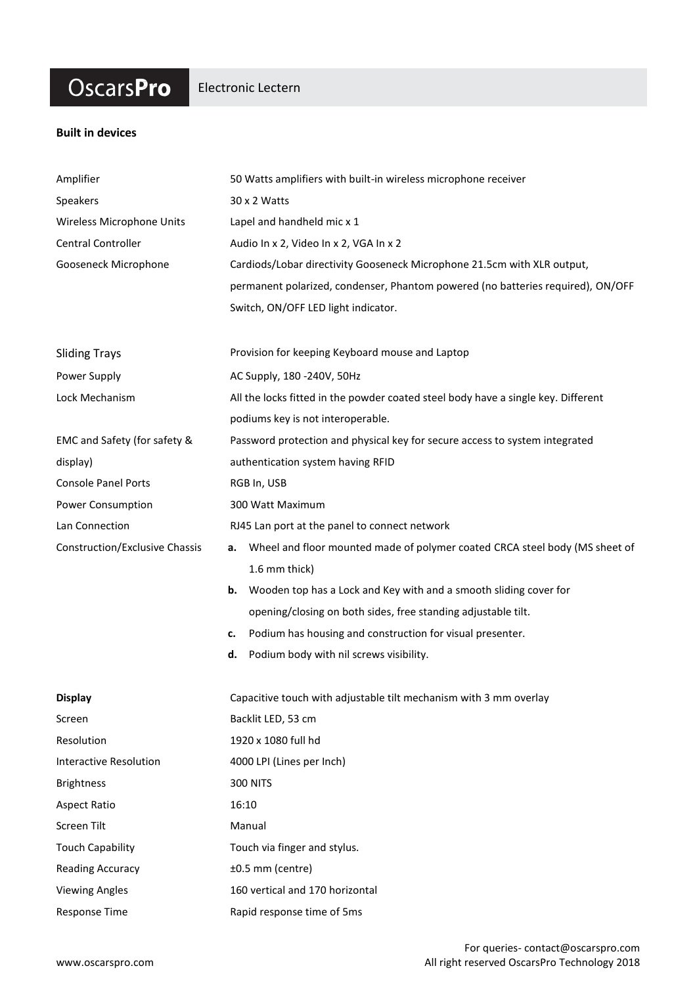### **OscarsPro**

#### Electronic Lectern

#### **Built in devices**

| Amplifier                             | 50 Watts amplifiers with built-in wireless microphone receiver                    |
|---------------------------------------|-----------------------------------------------------------------------------------|
| Speakers                              | 30 x 2 Watts                                                                      |
| Wireless Microphone Units             | Lapel and handheld mic x 1                                                        |
| Central Controller                    | Audio In x 2, Video In x 2, VGA In x 2                                            |
| Gooseneck Microphone                  | Cardiods/Lobar directivity Gooseneck Microphone 21.5cm with XLR output,           |
|                                       | permanent polarized, condenser, Phantom powered (no batteries required), ON/OFF   |
|                                       | Switch, ON/OFF LED light indicator.                                               |
| <b>Sliding Trays</b>                  | Provision for keeping Keyboard mouse and Laptop                                   |
| Power Supply                          | AC Supply, 180 -240V, 50Hz                                                        |
| Lock Mechanism                        | All the locks fitted in the powder coated steel body have a single key. Different |
|                                       | podiums key is not interoperable.                                                 |
| EMC and Safety (for safety &          | Password protection and physical key for secure access to system integrated       |
| display)                              | authentication system having RFID                                                 |
| <b>Console Panel Ports</b>            | RGB In, USB                                                                       |
| Power Consumption                     | 300 Watt Maximum                                                                  |
| Lan Connection                        | RJ45 Lan port at the panel to connect network                                     |
| <b>Construction/Exclusive Chassis</b> | Wheel and floor mounted made of polymer coated CRCA steel body (MS sheet of<br>а. |
|                                       | 1.6 mm thick)                                                                     |
|                                       | Wooden top has a Lock and Key with and a smooth sliding cover for<br>b.           |
|                                       | opening/closing on both sides, free standing adjustable tilt.                     |
|                                       | Podium has housing and construction for visual presenter.<br>c.                   |
|                                       | Podium body with nil screws visibility.<br>d.                                     |
| <b>Display</b>                        | Capacitive touch with adjustable tilt mechanism with 3 mm overlay                 |
| Screen                                | Backlit LED, 53 cm                                                                |
| Resolution                            | 1920 x 1080 full hd                                                               |
| <b>Interactive Resolution</b>         | 4000 LPI (Lines per Inch)                                                         |
| <b>Brightness</b>                     | <b>300 NITS</b>                                                                   |
| <b>Aspect Ratio</b>                   | 16:10                                                                             |
| Screen Tilt                           | Manual                                                                            |
| <b>Touch Capability</b>               | Touch via finger and stylus.                                                      |
| <b>Reading Accuracy</b>               | ±0.5 mm (centre)                                                                  |
| <b>Viewing Angles</b>                 | 160 vertical and 170 horizontal                                                   |
| <b>Response Time</b>                  | Rapid response time of 5ms                                                        |